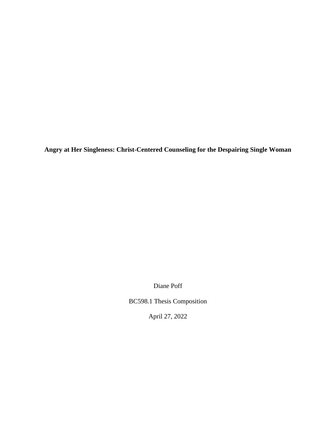**Angry at Her Singleness: Christ-Centered Counseling for the Despairing Single Woman**

Diane Poff

BC598.1 Thesis Composition

April 27, 2022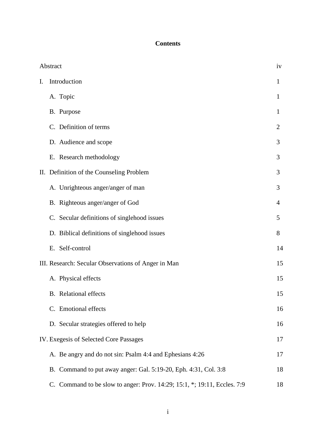# **Contents**

| Abstract<br>iv                                      |                                                                          |                |
|-----------------------------------------------------|--------------------------------------------------------------------------|----------------|
| I.                                                  | Introduction                                                             | 1              |
|                                                     | A. Topic                                                                 | 1              |
|                                                     | B. Purpose                                                               | $\bf{l}$       |
|                                                     | C. Definition of terms                                                   | $\overline{2}$ |
|                                                     | D. Audience and scope                                                    | 3              |
|                                                     | E. Research methodology                                                  | 3              |
|                                                     | II. Definition of the Counseling Problem                                 | 3              |
|                                                     | A. Unrighteous anger/anger of man                                        | 3              |
|                                                     | B. Righteous anger/anger of God                                          | 4              |
|                                                     | C. Secular definitions of singlehood issues                              | 5              |
|                                                     | D. Biblical definitions of singlehood issues                             | 8              |
|                                                     | E. Self-control                                                          | 14             |
| III. Research: Secular Observations of Anger in Man |                                                                          | 15             |
|                                                     | A. Physical effects                                                      | 15             |
|                                                     | <b>B.</b> Relational effects                                             | 15             |
|                                                     | C. Emotional effects                                                     | 16             |
|                                                     | D. Secular strategies offered to help                                    | 16             |
|                                                     | IV. Exegesis of Selected Core Passages                                   | 17             |
|                                                     | A. Be angry and do not sin: Psalm 4:4 and Ephesians 4:26                 | 17             |
|                                                     | B. Command to put away anger: Gal. 5:19-20, Eph. 4:31, Col. 3:8          | 18             |
|                                                     | C. Command to be slow to anger: Prov. 14:29; 15:1, *; 19:11, Eccles. 7:9 | 18             |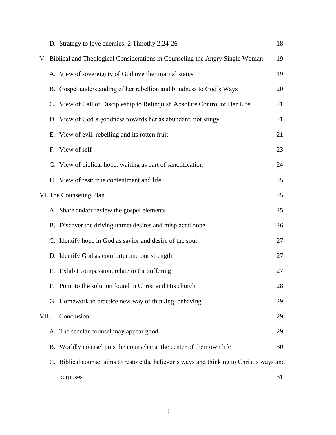|                         |    | D. Strategy to love enemies: 2 Timothy 2:24-26                                            | 18 |  |
|-------------------------|----|-------------------------------------------------------------------------------------------|----|--|
|                         |    | V. Biblical and Theological Considerations in Counseling the Angry Single Woman           | 19 |  |
|                         |    | A. View of sovereignty of God over her marital status                                     | 19 |  |
|                         |    | B. Gospel understanding of her rebellion and blindness to God's Ways                      | 20 |  |
|                         |    | C. View of Call of Discipleship to Relinquish Absolute Control of Her Life                | 21 |  |
|                         |    | D. View of God's goodness towards her as abundant, not stingy                             | 21 |  |
|                         | Е. | View of evil: rebelling and its rotten fruit                                              | 21 |  |
|                         |    | F. View of self                                                                           | 23 |  |
|                         |    | G. View of biblical hope: waiting as part of sanctification                               | 24 |  |
|                         |    | H. View of rest: true contentment and life                                                | 25 |  |
| VI. The Counseling Plan |    |                                                                                           |    |  |
|                         |    | A. Share and/or review the gospel elements                                                | 25 |  |
|                         |    | B. Discover the driving unmet desires and misplaced hope                                  | 26 |  |
|                         |    | C. Identify hope in God as savior and desire of the soul                                  | 27 |  |
|                         |    | D. Identify God as comforter and our strength                                             | 27 |  |
|                         |    | E. Exhibit compassion, relate to the suffering                                            | 27 |  |
|                         |    | F. Point to the solution found in Christ and His church                                   | 28 |  |
|                         |    | G. Homework to practice new way of thinking, behaving                                     | 29 |  |
| VII.                    |    | Conclusion                                                                                | 29 |  |
|                         |    | A. The secular counsel may appear good                                                    | 29 |  |
|                         |    | B. Worldly counsel puts the counselee at the center of their own life                     | 30 |  |
|                         |    | C. Biblical counsel aims to restore the believer's ways and thinking to Christ's ways and |    |  |
|                         |    | purposes                                                                                  | 31 |  |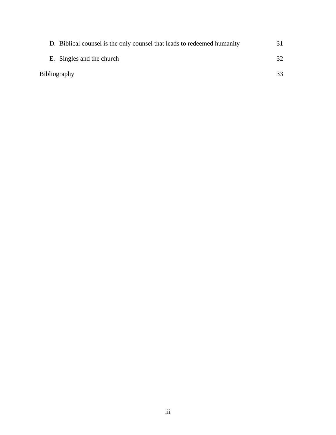| D. Biblical counsel is the only counsel that leads to redeemed humanity |  |
|-------------------------------------------------------------------------|--|
| E. Singles and the church                                               |  |
| Bibliography                                                            |  |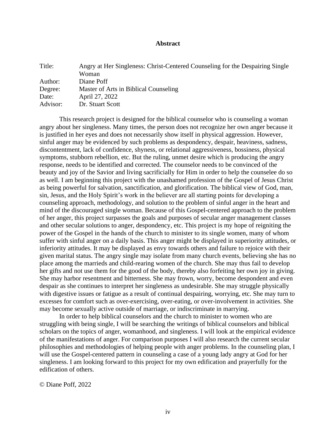# **Abstract**

| Title:   | Angry at Her Singleness: Christ-Centered Counseling for the Despairing Single<br>Woman |
|----------|----------------------------------------------------------------------------------------|
| Author:  | Diane Poff                                                                             |
| Degree:  | Master of Arts in Biblical Counseling                                                  |
| Date:    | April 27, 2022                                                                         |
| Advisor: | Dr. Stuart Scott                                                                       |

This research project is designed for the biblical counselor who is counseling a woman angry about her singleness. Many times, the person does not recognize her own anger because it is justified in her eyes and does not necessarily show itself in physical aggression. However, sinful anger may be evidenced by such problems as despondency, despair, heaviness, sadness, discontentment, lack of confidence, shyness, or relational aggressiveness, bossiness, physical symptoms, stubborn rebellion, etc. But the ruling, unmet desire which is producing the angry response, needs to be identified and corrected. The counselor needs to be convinced of the beauty and joy of the Savior and living sacrificially for Him in order to help the counselee do so as well. I am beginning this project with the unashamed profession of the Gospel of Jesus Christ as being powerful for salvation, sanctification, and glorification. The biblical view of God, man, sin, Jesus, and the Holy Spirit's work in the believer are all starting points for developing a counseling approach, methodology, and solution to the problem of sinful anger in the heart and mind of the discouraged single woman. Because of this Gospel-centered approach to the problem of her anger, this project surpasses the goals and purposes of secular anger management classes and other secular solutions to anger, despondency, etc. This project is my hope of reigniting the power of the Gospel in the hands of the church to minister to its single women, many of whom suffer with sinful anger on a daily basis. This anger might be displayed in superiority attitudes, or inferiority attitudes. It may be displayed as envy towards others and failure to rejoice with their given marital status. The angry single may isolate from many church events, believing she has no place among the marrieds and child-rearing women of the church. She may thus fail to develop her gifts and not use them for the good of the body, thereby also forfeiting her own joy in giving. She may harbor resentment and bitterness. She may frown, worry, become despondent and even despair as she continues to interpret her singleness as undesirable. She may struggle physically with digestive issues or fatigue as a result of continual despairing, worrying, etc. She may turn to excesses for comfort such as over-exercising, over-eating, or over-involvement in activities. She may become sexually active outside of marriage, or indiscriminate in marrying.

In order to help biblical counselors and the church to minister to women who are struggling with being single, I will be searching the writings of biblical counselors and biblical scholars on the topics of anger, womanhood, and singleness. I will look at the empirical evidence of the manifestations of anger. For comparison purposes I will also research the current secular philosophies and methodologies of helping people with anger problems. In the counseling plan, I will use the Gospel-centered pattern in counseling a case of a young lady angry at God for her singleness. I am looking forward to this project for my own edification and prayerfully for the edification of others.

© Diane Poff, 2022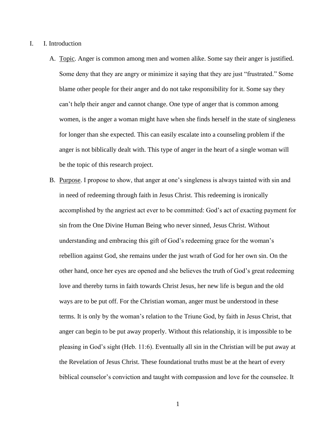- I. I. Introduction
	- A. Topic. Anger is common among men and women alike. Some say their anger is justified. Some deny that they are angry or minimize it saying that they are just "frustrated." Some blame other people for their anger and do not take responsibility for it. Some say they can't help their anger and cannot change. One type of anger that is common among women, is the anger a woman might have when she finds herself in the state of singleness for longer than she expected. This can easily escalate into a counseling problem if the anger is not biblically dealt with. This type of anger in the heart of a single woman will be the topic of this research project.
	- B. Purpose. I propose to show, that anger at one's singleness is always tainted with sin and in need of redeeming through faith in Jesus Christ. This redeeming is ironically accomplished by the angriest act ever to be committed: God's act of exacting payment for sin from the One Divine Human Being who never sinned, Jesus Christ. Without understanding and embracing this gift of God's redeeming grace for the woman's rebellion against God, she remains under the just wrath of God for her own sin. On the other hand, once her eyes are opened and she believes the truth of God's great redeeming love and thereby turns in faith towards Christ Jesus, her new life is begun and the old ways are to be put off. For the Christian woman, anger must be understood in these terms. It is only by the woman's relation to the Triune God, by faith in Jesus Christ, that anger can begin to be put away properly. Without this relationship, it is impossible to be pleasing in God's sight (Heb. 11:6). Eventually all sin in the Christian will be put away at the Revelation of Jesus Christ. These foundational truths must be at the heart of every biblical counselor's conviction and taught with compassion and love for the counselee. It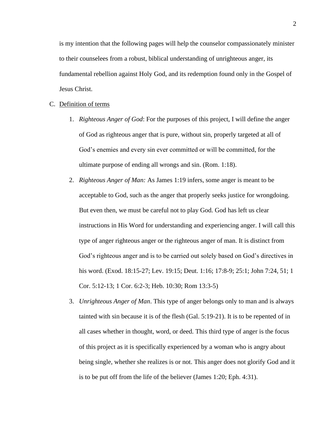is my intention that the following pages will help the counselor compassionately minister to their counselees from a robust, biblical understanding of unrighteous anger, its fundamental rebellion against Holy God, and its redemption found only in the Gospel of Jesus Christ.

#### C. Definition of terms

- 1. *Righteous Anger of God*: For the purposes of this project, I will define the anger of God as righteous anger that is pure, without sin, properly targeted at all of God's enemies and every sin ever committed or will be committed, for the ultimate purpose of ending all wrongs and sin. (Rom. 1:18).
- 2. *Righteous Anger of Man:* As James 1:19 infers, some anger is meant to be acceptable to God, such as the anger that properly seeks justice for wrongdoing. But even then, we must be careful not to play God. God has left us clear instructions in His Word for understanding and experiencing anger. I will call this type of anger righteous anger or the righteous anger of man. It is distinct from God's righteous anger and is to be carried out solely based on God's directives in his word. (Exod. 18:15-27; Lev. 19:15; Deut. 1:16; 17:8-9; 25:1; John 7:24, 51; 1 Cor. 5:12-13; 1 Cor. 6:2-3; Heb. 10:30; Rom 13:3-5)
- 3. *Unrighteous Anger of Man*. This type of anger belongs only to man and is always tainted with sin because it is of the flesh (Gal. 5:19-21). It is to be repented of in all cases whether in thought, word, or deed. This third type of anger is the focus of this project as it is specifically experienced by a woman who is angry about being single, whether she realizes is or not. This anger does not glorify God and it is to be put off from the life of the believer (James 1:20; Eph. 4:31).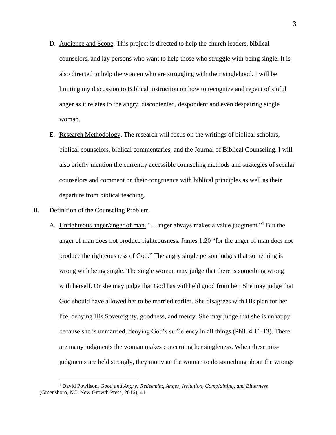- D. Audience and Scope. This project is directed to help the church leaders, biblical counselors, and lay persons who want to help those who struggle with being single. It is also directed to help the women who are struggling with their singlehood. I will be limiting my discussion to Biblical instruction on how to recognize and repent of sinful anger as it relates to the angry, discontented, despondent and even despairing single woman.
- E. Research Methodology. The research will focus on the writings of biblical scholars, biblical counselors, biblical commentaries, and the Journal of Biblical Counseling. I will also briefly mention the currently accessible counseling methods and strategies of secular counselors and comment on their congruence with biblical principles as well as their departure from biblical teaching.

# II. Definition of the Counseling Problem

A. Unrighteous anger/anger of man. "...anger always makes a value judgment."<sup>1</sup> But the anger of man does not produce righteousness. James 1:20 "for the anger of man does not produce the righteousness of God." The angry single person judges that something is wrong with being single. The single woman may judge that there is something wrong with herself. Or she may judge that God has withheld good from her. She may judge that God should have allowed her to be married earlier. She disagrees with His plan for her life, denying His Sovereignty, goodness, and mercy. She may judge that she is unhappy because she is unmarried, denying God's sufficiency in all things (Phil. 4:11-13). There are many judgments the woman makes concerning her singleness. When these misjudgments are held strongly, they motivate the woman to do something about the wrongs

<sup>1</sup> David Powlison, *Good and Angry: Redeeming Anger, Irritation, Complaining, and Bitterness* (Greensboro, NC: New Growth Press, 2016), 41.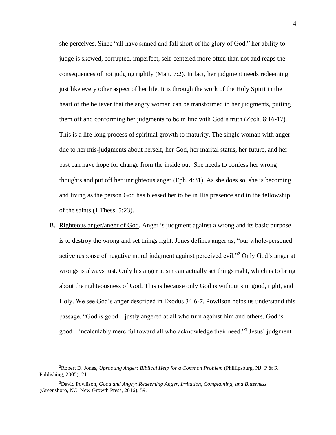she perceives. Since "all have sinned and fall short of the glory of God," her ability to judge is skewed, corrupted, imperfect, self-centered more often than not and reaps the consequences of not judging rightly (Matt. 7:2). In fact, her judgment needs redeeming just like every other aspect of her life. It is through the work of the Holy Spirit in the heart of the believer that the angry woman can be transformed in her judgments, putting them off and conforming her judgments to be in line with God's truth (Zech. 8:16-17). This is a life-long process of spiritual growth to maturity. The single woman with anger due to her mis-judgments about herself, her God, her marital status, her future, and her past can have hope for change from the inside out. She needs to confess her wrong thoughts and put off her unrighteous anger (Eph. 4:31). As she does so, she is becoming and living as the person God has blessed her to be in His presence and in the fellowship of the saints (1 Thess. 5:23).

B. Righteous anger/anger of God. Anger is judgment against a wrong and its basic purpose is to destroy the wrong and set things right. Jones defines anger as, "our whole-personed active response of negative moral judgment against perceived evil."<sup>2</sup> Only God's anger at wrongs is always just. Only his anger at sin can actually set things right, which is to bring about the righteousness of God. This is because only God is without sin, good, right, and Holy. We see God's anger described in Exodus 34:6-7. Powlison helps us understand this passage. "God is good—justly angered at all who turn against him and others. God is good—incalculably merciful toward all who acknowledge their need."<sup>3</sup> Jesus' judgment

<sup>2</sup>Robert D. Jones, *Uprooting Anger: Biblical Help for a Common Problem* (Phillipsburg, NJ: P & R Publishing, 2005), 21.

<sup>3</sup>David Powlison, *Good and Angry: Redeeming Anger, Irritation, Complaining, and Bitterness* (Greensboro, NC: New Growth Press, 2016), 59.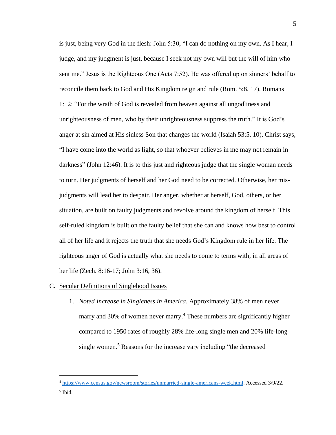is just, being very God in the flesh: John 5:30, "I can do nothing on my own. As I hear, I judge, and my judgment is just, because I seek not my own will but the will of him who sent me." Jesus is the Righteous One (Acts 7:52). He was offered up on sinners' behalf to reconcile them back to God and His Kingdom reign and rule (Rom. 5:8, 17). Romans 1:12: "For the wrath of God is revealed from heaven against all ungodliness and unrighteousness of men, who by their unrighteousness suppress the truth." It is God's anger at sin aimed at His sinless Son that changes the world (Isaiah 53:5, 10). Christ says, "I have come into the world as light, so that whoever believes in me may not remain in darkness" (John 12:46). It is to this just and righteous judge that the single woman needs to turn. Her judgments of herself and her God need to be corrected. Otherwise, her misjudgments will lead her to despair. Her anger, whether at herself, God, others, or her situation, are built on faulty judgments and revolve around the kingdom of herself. This self-ruled kingdom is built on the faulty belief that she can and knows how best to control all of her life and it rejects the truth that she needs God's Kingdom rule in her life. The righteous anger of God is actually what she needs to come to terms with, in all areas of her life (Zech. 8:16-17; John 3:16, 36).

# C. Secular Definitions of Singlehood Issues

1. *Noted Increase in Singleness in America*. Approximately 38% of men never marry and 30% of women never marry.<sup>4</sup> These numbers are significantly higher compared to 1950 rates of roughly 28% life-long single men and 20% life-long single women. <sup>5</sup> Reasons for the increase vary including "the decreased

<sup>4</sup> [https://www.census.gov/newsroom/stories/unmarried-single-americans-week.html.](https://www.census.gov/newsroom/stories/unmarried-single-americans-week.html) Accessed 3/9/22.

<sup>5</sup>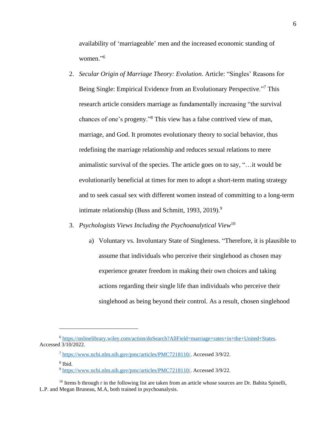availability of 'marriageable' men and the increased economic standing of women." 6

- 2. *Secular Origin of Marriage Theory: Evolution*. Article: "Singles' Reasons for Being Single: Empirical Evidence from an Evolutionary Perspective."<sup>7</sup> This research article considers marriage as fundamentally increasing "the survival chances of one's progeny." <sup>8</sup> This view has a false contrived view of man, marriage, and God. It promotes evolutionary theory to social behavior, thus redefining the marriage relationship and reduces sexual relations to mere animalistic survival of the species. The article goes on to say, "…it would be evolutionarily beneficial at times for men to adopt a short-term mating strategy and to seek casual sex with different women instead of committing to a long-term intimate relationship (Buss and Schmitt, 1993, 2019).<sup>9</sup>
- 3. *Psychologists Views Including the Psychoanalytical View*<sup>10</sup>
	- a) Voluntary vs. Involuntary State of Singleness. "Therefore, it is plausible to assume that individuals who perceive their singlehood as chosen may experience greater freedom in making their own choices and taking actions regarding their single life than individuals who perceive their singlehood as being beyond their control. As a result, chosen singlehood

<sup>6</sup> [https://onlinelibrary.wiley.com/action/doSearch?AllField=marriage+rates+in+the+United+States.](https://onlinelibrary.wiley.com/action/doSearch?AllField=marriage+rates+in+the+United+States) Accessed 3/10/2022.

<sup>7</sup> [https://www.ncbi.nlm.nih.gov/pmc/articles/PMC7218110/.](https://www.ncbi.nlm.nih.gov/pmc/articles/PMC7218110/) Accessed 3/9/22.

<sup>8</sup> Ibid.

<sup>9</sup> [https://www.ncbi.nlm.nih.gov/pmc/articles/PMC7218110/.](https://www.ncbi.nlm.nih.gov/pmc/articles/PMC7218110/) Accessed 3/9/22.

 $10$  Items b through r in the following list are taken from an article whose sources are Dr. Babita Spinelli, L.P. and Megan Bruneau, M.A, both trained in psychoanalysis.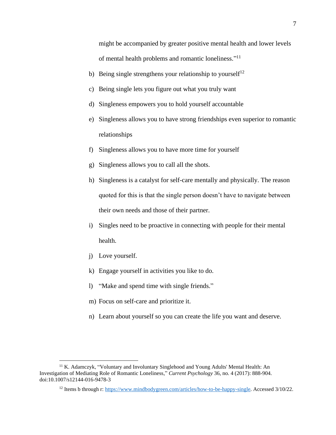might be accompanied by greater positive mental health and lower levels of mental health problems and romantic loneliness."<sup>11</sup>

- b) Being single strengthens your relationship to yourself<sup>12</sup>
- c) Being single lets you figure out what you truly want
- d) Singleness empowers you to hold yourself accountable
- e) Singleness allows you to have strong friendships even superior to romantic relationships
- f) Singleness allows you to have more time for yourself
- g) Singleness allows you to call all the shots.
- h) Singleness is a catalyst for self-care mentally and physically. The reason quoted for this is that the single person doesn't have to navigate between their own needs and those of their partner.
- i) Singles need to be proactive in connecting with people for their mental health.
- j) Love yourself.
- k) Engage yourself in activities you like to do.
- l) "Make and spend time with single friends."
- m) Focus on self-care and prioritize it.
- n) Learn about yourself so you can create the life you want and deserve.

<sup>&</sup>lt;sup>11</sup> K. Adamczyk, "Voluntary and Involuntary Singlehood and Young Adults' Mental Health: An Investigation of Mediating Role of Romantic Loneliness," *Current Psychology* 36, no. 4 (2017): 888-904. doi:10.1007/s12144-016-9478-3

<sup>&</sup>lt;sup>12</sup> Items b through r: [https://www.mindbodygreen.com/articles/how-to-be-happy-single.](https://www.mindbodygreen.com/articles/how-to-be-happy-single) Accessed 3/10/22.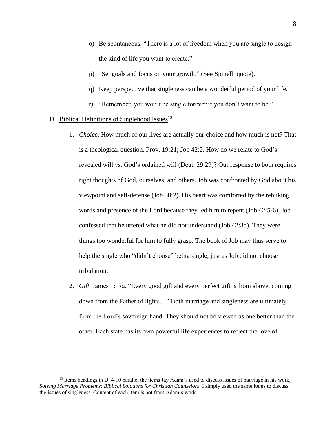- o) Be spontaneous. "There is a lot of freedom when you are single to design the kind of life you want to create."
- p) "Set goals and focus on your growth." (See Spinelli quote).
- q) Keep perspective that singleness can be a wonderful period of your life.
- r) "Remember, you won't be single forever if you don't want to be."

# D. Biblical Definitions of Singlehood Issues $13$

- 1. *Choice*. How much of our lives are actually our choice and how much is not? That is a theological question. Prov. 19:21; Job 42:2. How do we relate to God's revealed will vs. God's ordained will (Deut. 29:29)? Our response to both requires right thoughts of God, ourselves, and others. Job was confronted by God about his viewpoint and self-defense (Job 38:2). His heart was comforted by the rebuking words and presence of the Lord because they led him to repent (Job 42:5-6). Job confessed that he uttered what he did not understand (Job 42:3b). They were things too wonderful for him to fully grasp. The book of Job may thus serve to help the single who "didn't choose" being single, just as Job did not choose tribulation.
- 2. *Gift.* James 1:17a, "Every good gift and every perfect gift is from above, coming down from the Father of lights…" Both marriage and singleness are ultimately from the Lord's sovereign hand. They should not be viewed as one better than the other. Each state has its own powerful life experiences to reflect the love of

<sup>&</sup>lt;sup>13</sup> Items headings in D. 4-10 parallel the items Jay Adam's used to discuss issues of marriage in his work, *Solving Marriage Problems: Biblical Solutions for Christian Counselors*. I simply used the same items to discuss the issues of singleness. Content of each item is not from Adam's work.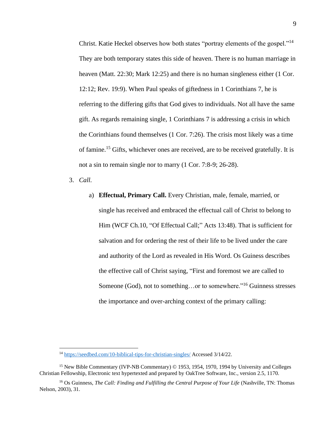Christ. Katie Heckel observes how both states "portray elements of the gospel."<sup>14</sup> They are both temporary states this side of heaven. There is no human marriage in heaven (Matt. 22:30; Mark 12:25) and there is no human singleness either (1 Cor. 12:12; Rev. 19:9). When Paul speaks of giftedness in 1 Corinthians 7, he is referring to the differing gifts that God gives to individuals. Not all have the same gift. As regards remaining single, 1 Corinthians 7 is addressing a crisis in which the Corinthians found themselves (1 Cor. 7:26). The crisis most likely was a time of famine.<sup>15</sup> Gifts, whichever ones are received, are to be received gratefully. It is not a sin to remain single nor to marry (1 Cor. 7:8-9; 26-28).

3. *Call.*

a) **Effectual, Primary Call.** Every Christian, male, female, married, or single has received and embraced the effectual call of Christ to belong to Him (WCF Ch.10, "Of Effectual Call;" Acts 13:48). That is sufficient for salvation and for ordering the rest of their life to be lived under the care and authority of the Lord as revealed in His Word. Os Guiness describes the effective call of Christ saying, "First and foremost we are called to Someone (God), not to something…or to somewhere."<sup>16</sup> Guinness stresses the importance and over-arching context of the primary calling:

<sup>14</sup> <https://seedbed.com/10-biblical-tips-for-christian-singles/> Accessed 3/14/22.

<sup>15</sup> New Bible Commentary (IVP-NB Commentary) © 1953, 1954, 1970, 1994 by University and Colleges Christian Fellowship, Electronic text hypertexted and prepared by OakTree Software, Inc., version 2.5, 1170.

<sup>&</sup>lt;sup>16</sup> Os Guinness, *The Call: Finding and Fulfilling the Central Purpose of Your Life* (Nashville, TN: Thomas Nelson, 2003), 31.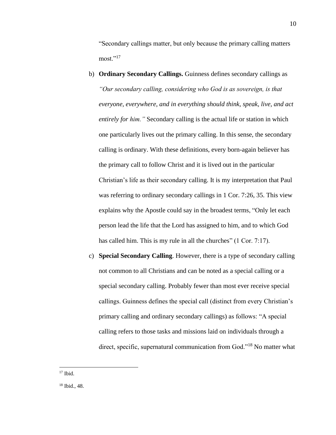"Secondary callings matter, but only because the primary calling matters most."<sup>17</sup>

- b) **Ordinary Secondary Callings.** Guinness defines secondary callings as *"Our secondary calling, considering who God is as sovereign, is that everyone, everywhere, and in everything should think, speak, live, and act entirely for him."* Secondary calling is the actual life or station in which one particularly lives out the primary calling. In this sense, the secondary calling is ordinary. With these definitions, every born-again believer has the primary call to follow Christ and it is lived out in the particular Christian's life as their secondary calling. It is my interpretation that Paul was referring to ordinary secondary callings in 1 Cor. 7:26, 35. This view explains why the Apostle could say in the broadest terms, "Only let each person lead the life that the Lord has assigned to him, and to which God has called him. This is my rule in all the churches" (1 Cor. 7:17).
- c) **Special Secondary Calling**. However, there is a type of secondary calling not common to all Christians and can be noted as a special calling or a special secondary calling. Probably fewer than most ever receive special callings. Guinness defines the special call (distinct from every Christian's primary calling and ordinary secondary callings) as follows: "A special calling refers to those tasks and missions laid on individuals through a direct, specific, supernatural communication from God."<sup>18</sup> No matter what

 $17$  Ibid.

<sup>18</sup> Ibid., 48.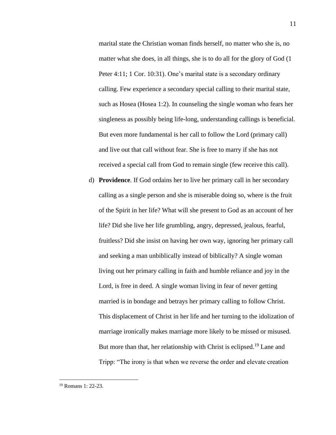marital state the Christian woman finds herself, no matter who she is, no matter what she does, in all things, she is to do all for the glory of God (1 Peter 4:11; 1 Cor. 10:31). One's marital state is a secondary ordinary calling. Few experience a secondary special calling to their marital state, such as Hosea (Hosea 1:2). In counseling the single woman who fears her singleness as possibly being life-long, understanding callings is beneficial. But even more fundamental is her call to follow the Lord (primary call) and live out that call without fear. She is free to marry if she has not received a special call from God to remain single (few receive this call).

d) **Providence**. If God ordains her to live her primary call in her secondary calling as a single person and she is miserable doing so, where is the fruit of the Spirit in her life? What will she present to God as an account of her life? Did she live her life grumbling, angry, depressed, jealous, fearful, fruitless? Did she insist on having her own way, ignoring her primary call and seeking a man unbiblically instead of biblically? A single woman living out her primary calling in faith and humble reliance and joy in the Lord, is free in deed. A single woman living in fear of never getting married is in bondage and betrays her primary calling to follow Christ. This displacement of Christ in her life and her turning to the idolization of marriage ironically makes marriage more likely to be missed or misused. But more than that, her relationship with Christ is eclipsed.<sup>19</sup> Lane and Tripp: "The irony is that when we reverse the order and elevate creation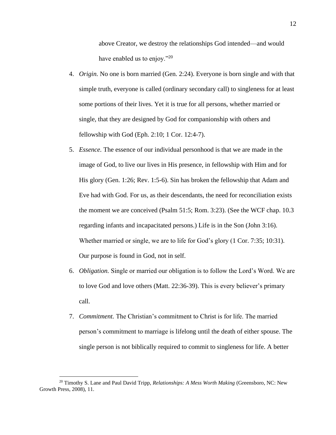above Creator, we destroy the relationships God intended—and would have enabled us to enjoy."<sup>20</sup>

- 4. *Origin.* No one is born married (Gen. 2:24). Everyone is born single and with that simple truth, everyone is called (ordinary secondary call) to singleness for at least some portions of their lives. Yet it is true for all persons, whether married or single, that they are designed by God for companionship with others and fellowship with God (Eph. 2:10; 1 Cor. 12:4-7).
- 5. *Essence.* The essence of our individual personhood is that we are made in the image of God, to live our lives in His presence, in fellowship with Him and for His glory (Gen. 1:26; Rev. 1:5-6). Sin has broken the fellowship that Adam and Eve had with God. For us, as their descendants, the need for reconciliation exists the moment we are conceived (Psalm 51:5; Rom. 3:23). (See the WCF chap. 10.3 regarding infants and incapacitated persons.) Life is in the Son (John 3:16). Whether married or single, we are to life for God's glory (1 Cor. 7:35; 10:31). Our purpose is found in God, not in self.
- 6. *Obligation.* Single or married our obligation is to follow the Lord's Word. We are to love God and love others (Matt. 22:36-39). This is every believer's primary call.
- 7. *Commitment.* The Christian's commitment to Christ is for life. The married person's commitment to marriage is lifelong until the death of either spouse. The single person is not biblically required to commit to singleness for life. A better

<sup>20</sup> Timothy S. Lane and Paul David Tripp, *Relationships: A Mess Worth Making* (Greensboro, NC: New Growth Press, 2008), 11.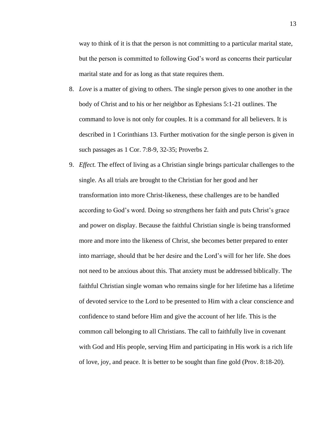way to think of it is that the person is not committing to a particular marital state, but the person is committed to following God's word as concerns their particular marital state and for as long as that state requires them.

- 8. *Love* is a matter of giving to others. The single person gives to one another in the body of Christ and to his or her neighbor as Ephesians 5:1-21 outlines. The command to love is not only for couples. It is a command for all believers. It is described in 1 Corinthians 13. Further motivation for the single person is given in such passages as 1 Cor. 7:8-9, 32-35; Proverbs 2.
- 9. *Effect.* The effect of living as a Christian single brings particular challenges to the single. As all trials are brought to the Christian for her good and her transformation into more Christ-likeness, these challenges are to be handled according to God's word. Doing so strengthens her faith and puts Christ's grace and power on display. Because the faithful Christian single is being transformed more and more into the likeness of Christ, she becomes better prepared to enter into marriage, should that be her desire and the Lord's will for her life. She does not need to be anxious about this. That anxiety must be addressed biblically. The faithful Christian single woman who remains single for her lifetime has a lifetime of devoted service to the Lord to be presented to Him with a clear conscience and confidence to stand before Him and give the account of her life. This is the common call belonging to all Christians. The call to faithfully live in covenant with God and His people, serving Him and participating in His work is a rich life of love, joy, and peace. It is better to be sought than fine gold (Prov. 8:18-20).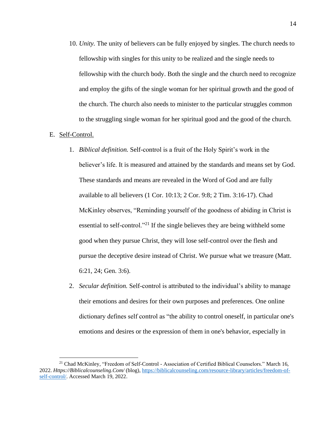10. *Unity.* The unity of believers can be fully enjoyed by singles. The church needs to fellowship with singles for this unity to be realized and the single needs to fellowship with the church body. Both the single and the church need to recognize and employ the gifts of the single woman for her spiritual growth and the good of the church. The church also needs to minister to the particular struggles common to the struggling single woman for her spiritual good and the good of the church.

#### E. Self-Control.

- 1. *Biblical definition.* Self-control is a fruit of the Holy Spirit's work in the believer's life. It is measured and attained by the standards and means set by God. These standards and means are revealed in the Word of God and are fully available to all believers (1 Cor. 10:13; 2 Cor. 9:8; 2 Tim. 3:16-17). Chad McKinley observes, "Reminding yourself of the goodness of abiding in Christ is essential to self-control."<sup>21</sup> If the single believes they are being withheld some good when they pursue Christ, they will lose self-control over the flesh and pursue the deceptive desire instead of Christ. We pursue what we treasure (Matt. 6:21, 24; Gen. 3:6).
- 2. *Secular definition.* Self-control is attributed to the individual's ability to manage their emotions and desires for their own purposes and preferences. One online dictionary defines self control as "the ability to control oneself, in particular one's emotions and desires or the expression of them in one's behavior, especially in

<sup>21</sup> Chad McKinley, "Freedom of Self-Control - Association of Certified Biblical Counselors." March 16, 2022. *Https://Biblicalcounseling.Com/* (blog), [https://biblicalcounseling.com/resource-library/articles/freedom-of](https://biblicalcounseling.com/resource-library/articles/freedom-of-self-control/)[self-control/.](https://biblicalcounseling.com/resource-library/articles/freedom-of-self-control/) Accessed March 19, 2022.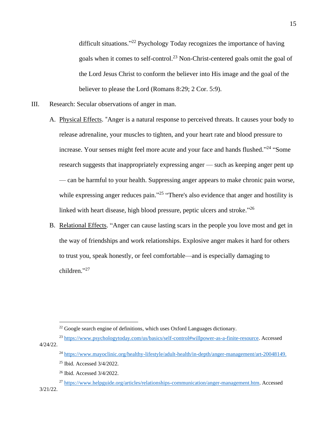difficult situations."<sup>22</sup> Psychology Today recognizes the importance of having goals when it comes to self-control. <sup>23</sup> Non-Christ-centered goals omit the goal of the Lord Jesus Christ to conform the believer into His image and the goal of the believer to please the Lord (Romans 8:29; 2 Cor. 5:9).

- III. Research: Secular observations of anger in man.
	- A. Physical Effects. "Anger is a natural response to perceived threats. It causes your body to release adrenaline, your muscles to tighten, and your heart rate and blood pressure to increase. Your senses might feel more acute and your face and hands flushed."<sup>24</sup> "Some research suggests that inappropriately expressing anger — such as keeping anger pent up — can be harmful to your health. Suppressing anger appears to make chronic pain worse, while expressing anger reduces pain."<sup>25</sup> "There's also evidence that anger and hostility is linked with heart disease, high blood pressure, peptic ulcers and stroke."26
	- B. Relational Effects. "Anger can cause lasting scars in the people you love most and get in the way of friendships and work relationships. Explosive anger makes it hard for others to trust you, speak honestly, or feel comfortable—and is especially damaging to children." 27

 $22$  Google search engine of definitions, which uses Oxford Languages dictionary.

<sup>23</sup> [https://www.psychologytoday.com/us/basics/self-control#willpower-as-a-finite-resource.](https://www.psychologytoday.com/us/basics/self-control#willpower-as-a-finite-resource) Accessed 4/24/22.

<sup>24</sup> [https://www.mayoclinic.org/healthy-lifestyle/adult-health/in-depth/anger-management/art-20048149.](https://www.mayoclinic.org/healthy-lifestyle/adult-health/in-depth/anger-management/art-20048149)

<sup>25</sup> Ibid. Accessed 3/4/2022.

<sup>26</sup> Ibid. Accessed 3/4/2022.

<sup>27</sup> [https://www.helpguide.org/articles/relationships-communication/anger-management.htm.](https://www.helpguide.org/articles/relationships-communication/anger-management.htm) Accessed 3/21/22.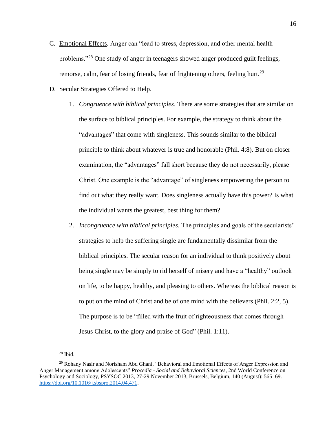- C. Emotional Effects. Anger can "lead to stress, depression, and other mental health problems."<sup>28</sup> One study of anger in teenagers showed anger produced guilt feelings, remorse, calm, fear of losing friends, fear of frightening others, feeling hurt.<sup>29</sup>
- D. Secular Strategies Offered to Help.
	- 1. *Congruence with biblical principles*. There are some strategies that are similar on the surface to biblical principles. For example, the strategy to think about the "advantages" that come with singleness. This sounds similar to the biblical principle to think about whatever is true and honorable (Phil. 4:8). But on closer examination, the "advantages" fall short because they do not necessarily, please Christ. One example is the "advantage" of singleness empowering the person to find out what they really want. Does singleness actually have this power? Is what the individual wants the greatest, best thing for them?
	- 2. *Incongruence with biblical principles*. The principles and goals of the secularists' strategies to help the suffering single are fundamentally dissimilar from the biblical principles. The secular reason for an individual to think positively about being single may be simply to rid herself of misery and have a "healthy" outlook on life, to be happy, healthy, and pleasing to others. Whereas the biblical reason is to put on the mind of Christ and be of one mind with the believers (Phil. 2:2, 5). The purpose is to be "filled with the fruit of righteousness that comes through Jesus Christ, to the glory and praise of God" (Phil. 1:11).

<sup>28</sup> Ibid.

<sup>29</sup> Rohany Nasir and Norisham Abd Ghani, "Behavioral and Emotional Effects of Anger Expression and Anger Management among Adolescents" *Procedia - Social and Behavioral Sciences*, 2nd World Conference on Psychology and Sociology, PSYSOC 2013, 27-29 November 2013, Brussels, Belgium, 140 (August): 565–69. [https://doi.org/10.1016/j.sbspro.2014.04.471.](https://doi.org/10.1016/j.sbspro.2014.04.471)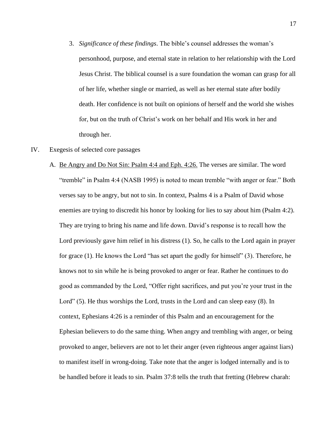3. *Significance of these findings*. The bible's counsel addresses the woman's personhood, purpose, and eternal state in relation to her relationship with the Lord Jesus Christ. The biblical counsel is a sure foundation the woman can grasp for all of her life, whether single or married, as well as her eternal state after bodily death. Her confidence is not built on opinions of herself and the world she wishes for, but on the truth of Christ's work on her behalf and His work in her and through her.

#### IV. Exegesis of selected core passages

A. Be Angry and Do Not Sin: Psalm 4:4 and Eph. 4:26. The verses are similar. The word "tremble" in Psalm 4:4 (NASB 1995) is noted to mean tremble "with anger or fear." Both verses say to be angry, but not to sin. In context, Psalms 4 is a Psalm of David whose enemies are trying to discredit his honor by looking for lies to say about him (Psalm 4:2). They are trying to bring his name and life down. David's response is to recall how the Lord previously gave him relief in his distress (1). So, he calls to the Lord again in prayer for grace (1). He knows the Lord "has set apart the godly for himself" (3). Therefore, he knows not to sin while he is being provoked to anger or fear. Rather he continues to do good as commanded by the Lord, "Offer right sacrifices, and put you're your trust in the Lord" (5). He thus worships the Lord, trusts in the Lord and can sleep easy (8). In context, Ephesians 4:26 is a reminder of this Psalm and an encouragement for the Ephesian believers to do the same thing. When angry and trembling with anger, or being provoked to anger, believers are not to let their anger (even righteous anger against liars) to manifest itself in wrong-doing. Take note that the anger is lodged internally and is to be handled before it leads to sin. Psalm 37:8 tells the truth that fretting (Hebrew charah: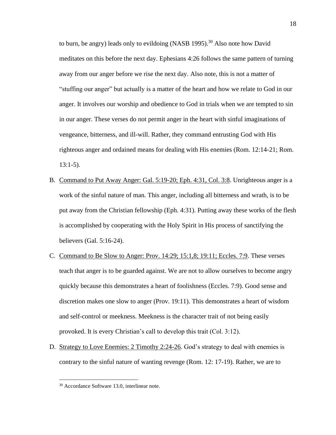to burn, be angry) leads only to evildoing (NASB 1995).<sup>30</sup> Also note how David meditates on this before the next day. Ephesians 4:26 follows the same pattern of turning away from our anger before we rise the next day. Also note, this is not a matter of "stuffing our anger" but actually is a matter of the heart and how we relate to God in our anger. It involves our worship and obedience to God in trials when we are tempted to sin in our anger. These verses do not permit anger in the heart with sinful imaginations of vengeance, bitterness, and ill-will. Rather, they command entrusting God with His righteous anger and ordained means for dealing with His enemies (Rom. 12:14-21; Rom. 13:1-5).

- B. Command to Put Away Anger: Gal. 5:19-20; Eph. 4:31, Col. 3:8. Unrighteous anger is a work of the sinful nature of man. This anger, including all bitterness and wrath, is to be put away from the Christian fellowship (Eph. 4:31). Putting away these works of the flesh is accomplished by cooperating with the Holy Spirit in His process of sanctifying the believers (Gal. 5:16-24).
- C. Command to Be Slow to Anger: Prov. 14:29; 15:1,8; 19:11; Eccles. 7:9. These verses teach that anger is to be guarded against. We are not to allow ourselves to become angry quickly because this demonstrates a heart of foolishness (Eccles. 7:9). Good sense and discretion makes one slow to anger (Prov. 19:11). This demonstrates a heart of wisdom and self-control or meekness. Meekness is the character trait of not being easily provoked. It is every Christian's call to develop this trait (Col. 3:12).
- D. Strategy to Love Enemies: 2 Timothy 2:24-26. God's strategy to deal with enemies is contrary to the sinful nature of wanting revenge (Rom. 12: 17-19). Rather, we are to

<sup>30</sup> Accordance Software 13.0, interlinear note.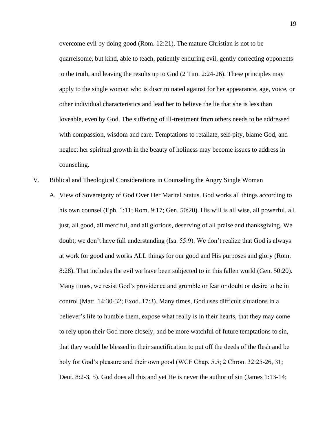overcome evil by doing good (Rom. 12:21). The mature Christian is not to be quarrelsome, but kind, able to teach, patiently enduring evil, gently correcting opponents to the truth, and leaving the results up to God (2 Tim. 2:24-26). These principles may apply to the single woman who is discriminated against for her appearance, age, voice, or other individual characteristics and lead her to believe the lie that she is less than loveable, even by God. The suffering of ill-treatment from others needs to be addressed with compassion, wisdom and care. Temptations to retaliate, self-pity, blame God, and neglect her spiritual growth in the beauty of holiness may become issues to address in counseling.

- V. Biblical and Theological Considerations in Counseling the Angry Single Woman
	- A. View of Sovereignty of God Over Her Marital Status. God works all things according to his own counsel (Eph. 1:11; Rom. 9:17; Gen. 50:20). His will is all wise, all powerful, all just, all good, all merciful, and all glorious, deserving of all praise and thanksgiving. We doubt; we don't have full understanding (Isa. 55:9). We don't realize that God is always at work for good and works ALL things for our good and His purposes and glory (Rom. 8:28). That includes the evil we have been subjected to in this fallen world (Gen. 50:20). Many times, we resist God's providence and grumble or fear or doubt or desire to be in control (Matt. 14:30-32; Exod. 17:3). Many times, God uses difficult situations in a believer's life to humble them, expose what really is in their hearts, that they may come to rely upon their God more closely, and be more watchful of future temptations to sin, that they would be blessed in their sanctification to put off the deeds of the flesh and be holy for God's pleasure and their own good (WCF Chap. 5.5; 2 Chron. 32:25-26, 31; Deut. 8:2-3, 5). God does all this and yet He is never the author of sin (James 1:13-14;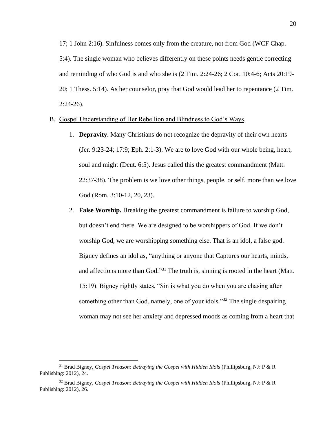17; 1 John 2:16). Sinfulness comes only from the creature, not from God (WCF Chap. 5:4). The single woman who believes differently on these points needs gentle correcting and reminding of who God is and who she is (2 Tim. 2:24-26; 2 Cor. 10:4-6; Acts 20:19- 20; 1 Thess. 5:14). As her counselor, pray that God would lead her to repentance (2 Tim. 2:24-26).

## B. Gospel Understanding of Her Rebellion and Blindness to God's Ways.

- 1. **Depravity.** Many Christians do not recognize the depravity of their own hearts (Jer. 9:23-24; 17:9; Eph. 2:1-3). We are to love God with our whole being, heart, soul and might (Deut. 6:5). Jesus called this the greatest commandment (Matt. 22:37-38). The problem is we love other things, people, or self, more than we love God (Rom. 3:10-12, 20, 23).
- 2. **False Worship.** Breaking the greatest commandment is failure to worship God, but doesn't end there. We are designed to be worshippers of God. If we don't worship God, we are worshipping something else. That is an idol, a false god. Bigney defines an idol as, "anything or anyone that Captures our hearts, minds, and affections more than God."<sup>31</sup> The truth is, sinning is rooted in the heart (Matt. 15:19). Bigney rightly states, "Sin is what you do when you are chasing after something other than God, namely, one of your idols."<sup>32</sup> The single despairing woman may not see her anxiety and depressed moods as coming from a heart that

<sup>&</sup>lt;sup>31</sup> Brad Bigney, *Gospel Treason: Betraying the Gospel with Hidden Idols* (Phillipsburg, NJ: P & R Publishing: 2012), 24.

<sup>32</sup> Brad Bigney, *Gospel Treason: Betraying the Gospel with Hidden Idols* (Phillipsburg, NJ: P & R Publishing: 2012), 26.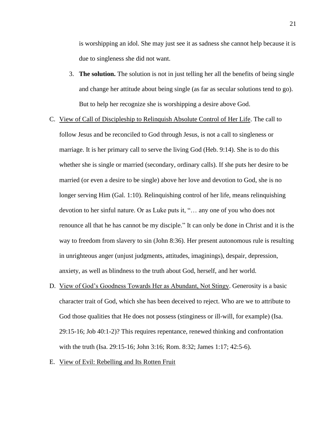is worshipping an idol. She may just see it as sadness she cannot help because it is due to singleness she did not want.

- 3. **The solution.** The solution is not in just telling her all the benefits of being single and change her attitude about being single (as far as secular solutions tend to go). But to help her recognize she is worshipping a desire above God.
- C. View of Call of Discipleship to Relinquish Absolute Control of Her Life. The call to follow Jesus and be reconciled to God through Jesus, is not a call to singleness or marriage. It is her primary call to serve the living God (Heb. 9:14). She is to do this whether she is single or married (secondary, ordinary calls). If she puts her desire to be married (or even a desire to be single) above her love and devotion to God, she is no longer serving Him (Gal. 1:10). Relinquishing control of her life, means relinquishing devotion to her sinful nature. Or as Luke puts it, "… any one of you who does not renounce all that he has cannot be my disciple." It can only be done in Christ and it is the way to freedom from slavery to sin (John 8:36). Her present autonomous rule is resulting in unrighteous anger (unjust judgments, attitudes, imaginings), despair, depression, anxiety, as well as blindness to the truth about God, herself, and her world.
- D. View of God's Goodness Towards Her as Abundant, Not Stingy. Generosity is a basic character trait of God, which she has been deceived to reject. Who are we to attribute to God those qualities that He does not possess (stinginess or ill-will, for example) (Isa. 29:15-16; Job 40:1-2)? This requires repentance, renewed thinking and confrontation with the truth (Isa. 29:15-16; John 3:16; Rom. 8:32; James 1:17; 42:5-6).
- E. View of Evil: Rebelling and Its Rotten Fruit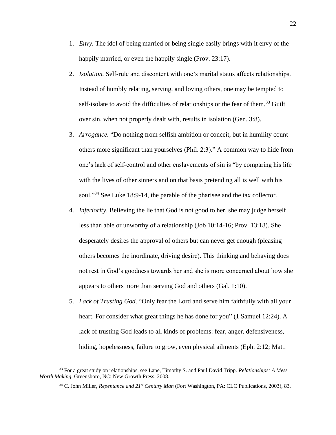- 1. *Envy.* The idol of being married or being single easily brings with it envy of the happily married, or even the happily single (Prov. 23:17).
- 2. *Isolation.* Self-rule and discontent with one's marital status affects relationships. Instead of humbly relating, serving, and loving others, one may be tempted to self-isolate to avoid the difficulties of relationships or the fear of them.<sup>33</sup> Guilt over sin, when not properly dealt with, results in isolation (Gen. 3:8).
- 3. *Arrogance.* "Do nothing from selfish ambition or conceit, but in humility count others more significant than yourselves (Phil. 2:3)." A common way to hide from one's lack of self-control and other enslavements of sin is "by comparing his life with the lives of other sinners and on that basis pretending all is well with his soul."<sup>34</sup> See Luke 18:9-14, the parable of the pharisee and the tax collector.
- 4. *Inferiority*. Believing the lie that God is not good to her, she may judge herself less than able or unworthy of a relationship (Job 10:14-16; Prov. 13:18). She desperately desires the approval of others but can never get enough (pleasing others becomes the inordinate, driving desire). This thinking and behaving does not rest in God's goodness towards her and she is more concerned about how she appears to others more than serving God and others (Gal. 1:10).
- 5. *Lack of Trusting God*. "Only fear the Lord and serve him faithfully with all your heart. For consider what great things he has done for you" (1 Samuel 12:24). A lack of trusting God leads to all kinds of problems: fear, anger, defensiveness, hiding, hopelessness, failure to grow, even physical ailments (Eph. 2:12; Matt.

<sup>33</sup> For a great study on relationships, see Lane, Timothy S. and Paul David Tripp. *Relationships: A Mess Worth Making*. Greensboro, NC: New Growth Press, 2008.

<sup>34</sup> C. John Miller, *Repentance and 21st Century Man* (Fort Washington, PA: CLC Publications, 2003), 83.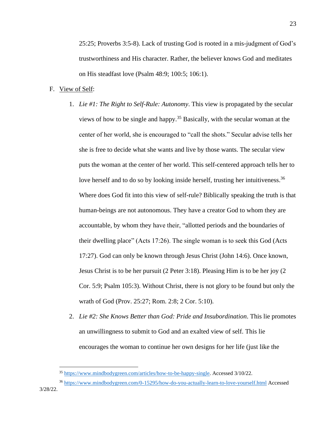25:25; Proverbs 3:5-8). Lack of trusting God is rooted in a mis-judgment of God's trustworthiness and His character. Rather, the believer knows God and meditates on His steadfast love (Psalm 48:9; 100:5; 106:1).

## F. View of Self:

- 1. *Lie #1: The Right to Self-Rule: Autonomy*. This view is propagated by the secular views of how to be single and happy.<sup>35</sup> Basically, with the secular woman at the center of her world, she is encouraged to "call the shots." Secular advise tells her she is free to decide what she wants and live by those wants. The secular view puts the woman at the center of her world. This self-centered approach tells her to love herself and to do so by looking inside herself, trusting her intuitiveness.<sup>36</sup> Where does God fit into this view of self-rule? Biblically speaking the truth is that human-beings are not autonomous. They have a creator God to whom they are accountable, by whom they have their, "allotted periods and the boundaries of their dwelling place" (Acts 17:26). The single woman is to seek this God (Acts 17:27). God can only be known through Jesus Christ (John 14:6). Once known, Jesus Christ is to be her pursuit (2 Peter 3:18). Pleasing Him is to be her joy (2 Cor. 5:9; Psalm 105:3). Without Christ, there is not glory to be found but only the wrath of God (Prov. 25:27; Rom. 2:8; 2 Cor. 5:10).
- 2. *Lie #2: She Knows Better than God: Pride and Insubordination*. This lie promotes an unwillingness to submit to God and an exalted view of self. This lie encourages the woman to continue her own designs for her life (just like the

<sup>36</sup> <https://www.mindbodygreen.com/0-15295/how-do-you-actually-learn-to-love-yourself.html> Accessed 3/28/22.

<sup>35</sup> [https://www.mindbodygreen.com/articles/how-to-be-happy-single.](https://www.mindbodygreen.com/articles/how-to-be-happy-single) Accessed 3/10/22.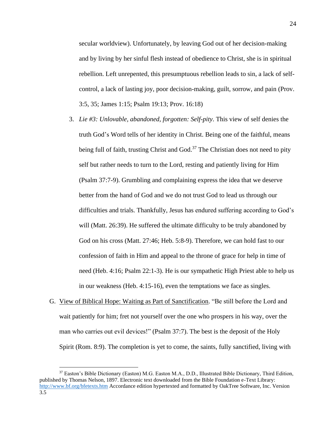secular worldview). Unfortunately, by leaving God out of her decision-making and by living by her sinful flesh instead of obedience to Christ, she is in spiritual rebellion. Left unrepented, this presumptuous rebellion leads to sin, a lack of selfcontrol, a lack of lasting joy, poor decision-making, guilt, sorrow, and pain (Prov. 3:5, 35; James 1:15; Psalm 19:13; Prov. 16:18)

- 3. *Lie #3: Unlovable, abandoned, forgotten: Self-pity*. This view of self denies the truth God's Word tells of her identity in Christ. Being one of the faithful, means being full of faith, trusting Christ and God.<sup>37</sup> The Christian does not need to pity self but rather needs to turn to the Lord, resting and patiently living for Him (Psalm 37:7-9). Grumbling and complaining express the idea that we deserve better from the hand of God and we do not trust God to lead us through our difficulties and trials. Thankfully, Jesus has endured suffering according to God's will (Matt. 26:39). He suffered the ultimate difficulty to be truly abandoned by God on his cross (Matt. 27:46; Heb. 5:8-9). Therefore, we can hold fast to our confession of faith in Him and appeal to the throne of grace for help in time of need (Heb. 4:16; Psalm 22:1-3). He is our sympathetic High Priest able to help us in our weakness (Heb. 4:15-16), even the temptations we face as singles.
- G. View of Biblical Hope: Waiting as Part of Sanctification. "Be still before the Lord and wait patiently for him; fret not yourself over the one who prospers in his way, over the man who carries out evil devices!" (Psalm 37:7). The best is the deposit of the Holy Spirit (Rom. 8:9). The completion is yet to come, the saints, fully sanctified, living with

<sup>37</sup> Easton's Bible Dictionary (Easton) M.G. Easton M.A., D.D., Illustrated Bible Dictionary, Third Edition, published by Thomas Nelson, 1897. Electronic text downloaded from the Bible Foundation e-Text Library: <http://www.bf.org/bfetexts.htm> Accordance edition hypertexted and formatted by OakTree Software, Inc. Version 3.5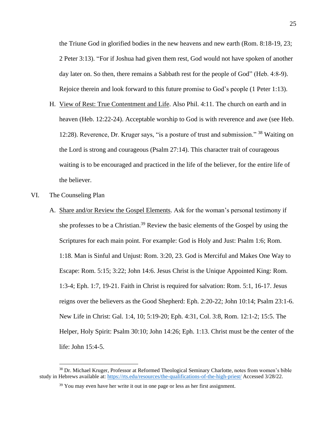the Triune God in glorified bodies in the new heavens and new earth (Rom. 8:18-19, 23; 2 Peter 3:13). "For if Joshua had given them rest, God would not have spoken of another day later on. So then, there remains a Sabbath rest for the people of God" (Heb. 4:8-9). Rejoice therein and look forward to this future promise to God's people (1 Peter 1:13).

- H. View of Rest: True Contentment and Life. Also Phil. 4:11. The church on earth and in heaven (Heb. 12:22-24). Acceptable worship to God is with reverence and awe (see Heb. 12:28). Reverence, Dr. Kruger says, "is a posture of trust and submission." <sup>38</sup> Waiting on the Lord is strong and courageous (Psalm 27:14). This character trait of courageous waiting is to be encouraged and practiced in the life of the believer, for the entire life of the believer.
- VI. The Counseling Plan
	- A. Share and/or Review the Gospel Elements. Ask for the woman's personal testimony if she professes to be a Christian.<sup>39</sup> Review the basic elements of the Gospel by using the Scriptures for each main point. For example: God is Holy and Just: Psalm 1:6; Rom. 1:18. Man is Sinful and Unjust: Rom. 3:20, 23. God is Merciful and Makes One Way to Escape: Rom. 5:15; 3:22; John 14:6. Jesus Christ is the Unique Appointed King: Rom. 1:3-4; Eph. 1:7, 19-21. Faith in Christ is required for salvation: Rom. 5:1, 16-17. Jesus reigns over the believers as the Good Shepherd: Eph. 2:20-22; John 10:14; Psalm 23:1-6. New Life in Christ: Gal. 1:4, 10; 5:19-20; Eph. 4:31, Col. 3:8, Rom. 12:1-2; 15:5. The Helper, Holy Spirit: Psalm 30:10; John 14:26; Eph. 1:13. Christ must be the center of the life: John 15:4-5.

<sup>&</sup>lt;sup>38</sup> Dr. Michael Kruger, Professor at Reformed Theological Seminary Charlotte, notes from women's bible study in Hebrews available at[: https://rts.edu/resources/the-qualifications-of-the-high-priest/](https://rts.edu/resources/the-qualifications-of-the-high-priest/) Accessed 3/28/22.

 $39$  You may even have her write it out in one page or less as her first assignment.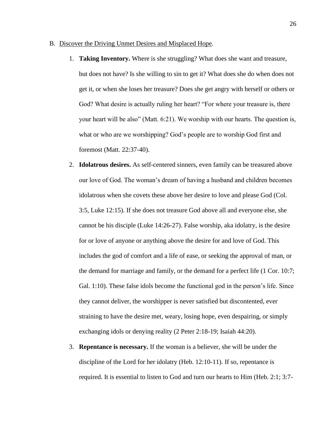- B. Discover the Driving Unmet Desires and Misplaced Hope.
	- 1. **Taking Inventory.** Where is she struggling? What does she want and treasure, but does not have? Is she willing to sin to get it? What does she do when does not get it, or when she loses her treasure? Does she get angry with herself or others or God? What desire is actually ruling her heart? "For where your treasure is, there your heart will be also" (Matt. 6:21). We worship with our hearts. The question is, what or who are we worshipping? God's people are to worship God first and foremost (Matt. 22:37-40).
	- 2. **Idolatrous desires.** As self-centered sinners, even family can be treasured above our love of God. The woman's dream of having a husband and children becomes idolatrous when she covets these above her desire to love and please God (Col. 3:5, Luke 12:15). If she does not treasure God above all and everyone else, she cannot be his disciple (Luke 14:26-27). False worship, aka idolatry, is the desire for or love of anyone or anything above the desire for and love of God. This includes the god of comfort and a life of ease, or seeking the approval of man, or the demand for marriage and family, or the demand for a perfect life (1 Cor. 10:7; Gal. 1:10). These false idols become the functional god in the person's life. Since they cannot deliver, the worshipper is never satisfied but discontented, ever straining to have the desire met, weary, losing hope, even despairing, or simply exchanging idols or denying reality (2 Peter 2:18-19; Isaiah 44:20).
	- 3. **Repentance is necessary.** If the woman is a believer, she will be under the discipline of the Lord for her idolatry (Heb. 12:10-11). If so, repentance is required. It is essential to listen to God and turn our hearts to Him (Heb. 2:1; 3:7-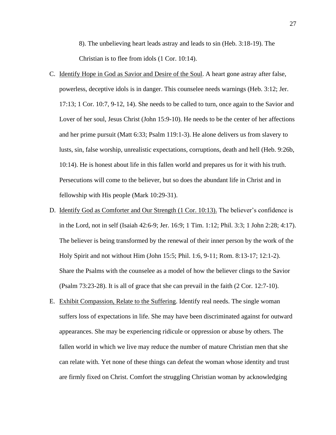8). The unbelieving heart leads astray and leads to sin (Heb. 3:18-19). The Christian is to flee from idols (1 Cor. 10:14).

- C. Identify Hope in God as Savior and Desire of the Soul. A heart gone astray after false, powerless, deceptive idols is in danger. This counselee needs warnings (Heb. 3:12; Jer. 17:13; 1 Cor. 10:7, 9-12, 14). She needs to be called to turn, once again to the Savior and Lover of her soul, Jesus Christ (John 15:9-10). He needs to be the center of her affections and her prime pursuit (Matt 6:33; Psalm 119:1-3). He alone delivers us from slavery to lusts, sin, false worship, unrealistic expectations, corruptions, death and hell (Heb. 9:26b, 10:14). He is honest about life in this fallen world and prepares us for it with his truth. Persecutions will come to the believer, but so does the abundant life in Christ and in fellowship with His people (Mark 10:29-31).
- D. Identify God as Comforter and Our Strength (1 Cor. 10:13). The believer's confidence is in the Lord, not in self (Isaiah 42:6-9; Jer. 16:9; 1 Tim. 1:12; Phil. 3:3; 1 John 2:28; 4:17). The believer is being transformed by the renewal of their inner person by the work of the Holy Spirit and not without Him (John 15:5; Phil. 1:6, 9-11; Rom. 8:13-17; 12:1-2). Share the Psalms with the counselee as a model of how the believer clings to the Savior (Psalm 73:23-28). It is all of grace that she can prevail in the faith (2 Cor. 12:7-10).
- E. Exhibit Compassion, Relate to the Suffering. Identify real needs. The single woman suffers loss of expectations in life. She may have been discriminated against for outward appearances. She may be experiencing ridicule or oppression or abuse by others. The fallen world in which we live may reduce the number of mature Christian men that she can relate with. Yet none of these things can defeat the woman whose identity and trust are firmly fixed on Christ. Comfort the struggling Christian woman by acknowledging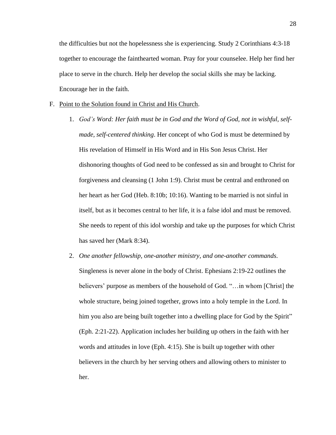the difficulties but not the hopelessness she is experiencing. Study 2 Corinthians 4:3-18 together to encourage the fainthearted woman. Pray for your counselee. Help her find her place to serve in the church. Help her develop the social skills she may be lacking. Encourage her in the faith.

#### F. Point to the Solution found in Christ and His Church.

- 1. *God's Word: Her faith must be in God and the Word of God, not in wishful, selfmade, self-centered thinking*. Her concept of who God is must be determined by His revelation of Himself in His Word and in His Son Jesus Christ. Her dishonoring thoughts of God need to be confessed as sin and brought to Christ for forgiveness and cleansing (1 John 1:9). Christ must be central and enthroned on her heart as her God (Heb. 8:10b; 10:16). Wanting to be married is not sinful in itself, but as it becomes central to her life, it is a false idol and must be removed. She needs to repent of this idol worship and take up the purposes for which Christ has saved her (Mark 8:34).
- 2. *One another fellowship, one-another ministry, and one-another commands.* Singleness is never alone in the body of Christ. Ephesians 2:19-22 outlines the believers' purpose as members of the household of God. "…in whom [Christ] the whole structure, being joined together, grows into a holy temple in the Lord. In him you also are being built together into a dwelling place for God by the Spirit" (Eph. 2:21-22). Application includes her building up others in the faith with her words and attitudes in love (Eph. 4:15). She is built up together with other believers in the church by her serving others and allowing others to minister to her.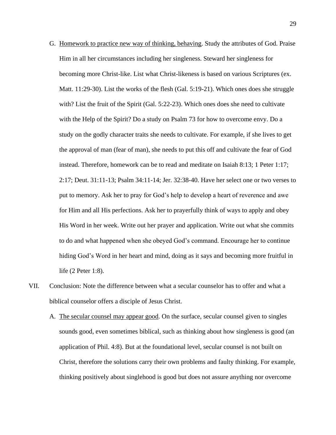- G. Homework to practice new way of thinking, behaving. Study the attributes of God. Praise Him in all her circumstances including her singleness. Steward her singleness for becoming more Christ-like. List what Christ-likeness is based on various Scriptures (ex. Matt. 11:29-30). List the works of the flesh (Gal. 5:19-21). Which ones does she struggle with? List the fruit of the Spirit (Gal. 5:22-23). Which ones does she need to cultivate with the Help of the Spirit? Do a study on Psalm 73 for how to overcome envy. Do a study on the godly character traits she needs to cultivate. For example, if she lives to get the approval of man (fear of man), she needs to put this off and cultivate the fear of God instead. Therefore, homework can be to read and meditate on Isaiah 8:13; 1 Peter 1:17; 2:17; Deut. 31:11-13; Psalm 34:11-14; Jer. 32:38-40. Have her select one or two verses to put to memory. Ask her to pray for God's help to develop a heart of reverence and awe for Him and all His perfections. Ask her to prayerfully think of ways to apply and obey His Word in her week. Write out her prayer and application. Write out what she commits to do and what happened when she obeyed God's command. Encourage her to continue hiding God's Word in her heart and mind, doing as it says and becoming more fruitful in life (2 Peter 1:8).
- VII. Conclusion: Note the difference between what a secular counselor has to offer and what a biblical counselor offers a disciple of Jesus Christ.
	- A. The secular counsel may appear good. On the surface, secular counsel given to singles sounds good, even sometimes biblical, such as thinking about how singleness is good (an application of Phil. 4:8). But at the foundational level, secular counsel is not built on Christ, therefore the solutions carry their own problems and faulty thinking. For example, thinking positively about singlehood is good but does not assure anything nor overcome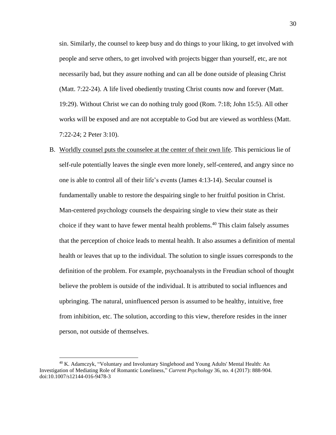sin. Similarly, the counsel to keep busy and do things to your liking, to get involved with people and serve others, to get involved with projects bigger than yourself, etc, are not necessarily bad, but they assure nothing and can all be done outside of pleasing Christ (Matt. 7:22-24). A life lived obediently trusting Christ counts now and forever (Matt. 19:29). Without Christ we can do nothing truly good (Rom. 7:18; John 15:5). All other works will be exposed and are not acceptable to God but are viewed as worthless (Matt. 7:22-24; 2 Peter 3:10).

B. Worldly counsel puts the counselee at the center of their own life. This pernicious lie of self-rule potentially leaves the single even more lonely, self-centered, and angry since no one is able to control all of their life's events (James 4:13-14). Secular counsel is fundamentally unable to restore the despairing single to her fruitful position in Christ. Man-centered psychology counsels the despairing single to view their state as their choice if they want to have fewer mental health problems.<sup>40</sup> This claim falsely assumes that the perception of choice leads to mental health. It also assumes a definition of mental health or leaves that up to the individual. The solution to single issues corresponds to the definition of the problem. For example, psychoanalysts in the Freudian school of thought believe the problem is outside of the individual. It is attributed to social influences and upbringing. The natural, uninfluenced person is assumed to be healthy, intuitive, free from inhibition, etc. The solution, according to this view, therefore resides in the inner person, not outside of themselves.

<sup>40</sup> K. Adamczyk, "Voluntary and Involuntary Singlehood and Young Adults' Mental Health: An Investigation of Mediating Role of Romantic Loneliness," *Current Psychology* 36, no. 4 (2017): 888-904. doi:10.1007/s12144-016-9478-3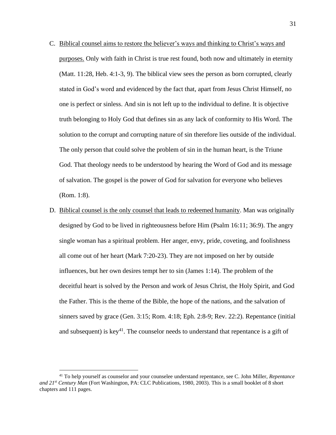- C. Biblical counsel aims to restore the believer's ways and thinking to Christ's ways and purposes. Only with faith in Christ is true rest found, both now and ultimately in eternity (Matt. 11:28, Heb. 4:1-3, 9). The biblical view sees the person as born corrupted, clearly stated in God's word and evidenced by the fact that, apart from Jesus Christ Himself, no one is perfect or sinless. And sin is not left up to the individual to define. It is objective truth belonging to Holy God that defines sin as any lack of conformity to His Word. The solution to the corrupt and corrupting nature of sin therefore lies outside of the individual. The only person that could solve the problem of sin in the human heart, is the Triune God. That theology needs to be understood by hearing the Word of God and its message of salvation. The gospel is the power of God for salvation for everyone who believes (Rom. 1:8).
- D. Biblical counsel is the only counsel that leads to redeemed humanity. Man was originally designed by God to be lived in righteousness before Him (Psalm 16:11; 36:9). The angry single woman has a spiritual problem. Her anger, envy, pride, coveting, and foolishness all come out of her heart (Mark 7:20-23). They are not imposed on her by outside influences, but her own desires tempt her to sin (James 1:14). The problem of the deceitful heart is solved by the Person and work of Jesus Christ, the Holy Spirit, and God the Father. This is the theme of the Bible, the hope of the nations, and the salvation of sinners saved by grace (Gen. 3:15; Rom. 4:18; Eph. 2:8-9; Rev. 22:2). Repentance (initial and subsequent) is key<sup>41</sup>. The counselor needs to understand that repentance is a gift of

<sup>41</sup> To help yourself as counselor and your counselee understand repentance, see C. John Miller, *Repentance and 21st Century Man* (Fort Washington, PA: CLC Publications, 1980, 2003). This is a small booklet of 8 short chapters and 111 pages.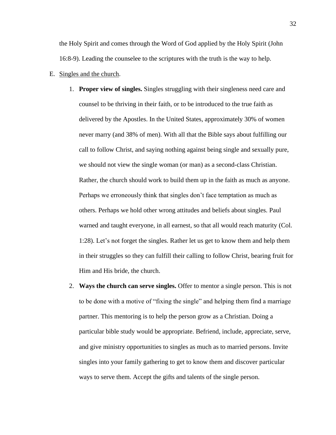the Holy Spirit and comes through the Word of God applied by the Holy Spirit (John 16:8-9). Leading the counselee to the scriptures with the truth is the way to help.

- E. Singles and the church.
	- 1. **Proper view of singles.** Singles struggling with their singleness need care and counsel to be thriving in their faith, or to be introduced to the true faith as delivered by the Apostles. In the United States, approximately 30% of women never marry (and 38% of men). With all that the Bible says about fulfilling our call to follow Christ, and saying nothing against being single and sexually pure, we should not view the single woman (or man) as a second-class Christian. Rather, the church should work to build them up in the faith as much as anyone. Perhaps we erroneously think that singles don't face temptation as much as others. Perhaps we hold other wrong attitudes and beliefs about singles. Paul warned and taught everyone, in all earnest, so that all would reach maturity (Col. 1:28). Let's not forget the singles. Rather let us get to know them and help them in their struggles so they can fulfill their calling to follow Christ, bearing fruit for Him and His bride, the church.
	- 2. **Ways the church can serve singles.** Offer to mentor a single person. This is not to be done with a motive of "fixing the single" and helping them find a marriage partner. This mentoring is to help the person grow as a Christian. Doing a particular bible study would be appropriate. Befriend, include, appreciate, serve, and give ministry opportunities to singles as much as to married persons. Invite singles into your family gathering to get to know them and discover particular ways to serve them. Accept the gifts and talents of the single person.

32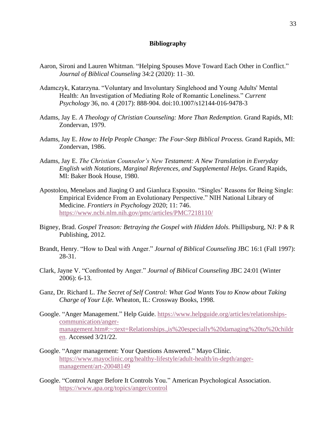# **Bibliography**

- Aaron, Sironi and Lauren Whitman. "Helping Spouses Move Toward Each Other in Conflict." *Journal of Biblical Counseling* 34:2 (2020): 11–30.
- Adamczyk, Katarzyna. "Voluntary and Involuntary Singlehood and Young Adults' Mental Health: An Investigation of Mediating Role of Romantic Loneliness." *Current Psychology* 36, no. 4 (2017): 888-904. doi:10.1007/s12144-016-9478-3
- Adams, Jay E. *A Theology of Christian Counseling: More Than Redemption.* Grand Rapids, MI: Zondervan, 1979.
- Adams, Jay E. *How to Help People Change: The Four-Step Biblical Process.* Grand Rapids, MI: Zondervan, 1986.
- Adams, Jay E. *The Christian Counselor's New Testament: A New Translation in Everyday English with Notations, Marginal References, and Supplemental Helps.* Grand Rapids, MI: Baker Book House, 1980.
- Apostolou, Menelaos and Jiaqing O and Gianluca Esposito. "Singles' Reasons for Being Single: Empirical Evidence From an Evolutionary Perspective." NIH National Library of Medicine. *Frontiers in Psychology* 2020; 11: 746. <https://www.ncbi.nlm.nih.gov/pmc/articles/PMC7218110/>
- Bigney, Brad. *Gospel Treason: Betraying the Gospel with Hidden Idols.* Phillipsburg, NJ: P & R Publishing, 2012.
- Brandt, Henry. "How to Deal with Anger." *Journal of Biblical Counseling* JBC 16:1 (Fall 1997): 28-31.
- Clark, Jayne V. "Confronted by Anger." *Journal of Biblical Counseling* JBC 24:01 (Winter 2006): 6-13.
- Ganz, Dr. Richard L. *The Secret of Self Control: What God Wants You to Know about Taking Charge of Your Life.* Wheaton, IL: Crossway Books, 1998.
- Google. "Anger Management." Help Guide. [https://www.helpguide.org/articles/relationships](https://www.helpguide.org/articles/relationships-communication/anger-management.htm#:~:text=Relationships.,is%20especially%20damaging%20to%20children)[communication/anger](https://www.helpguide.org/articles/relationships-communication/anger-management.htm#:~:text=Relationships.,is%20especially%20damaging%20to%20children)[management.htm#:~:text=Relationships.,is%20especially%20damaging%20to%20childr](https://www.helpguide.org/articles/relationships-communication/anger-management.htm#:~:text=Relationships.,is%20especially%20damaging%20to%20children) [en.](https://www.helpguide.org/articles/relationships-communication/anger-management.htm#:~:text=Relationships.,is%20especially%20damaging%20to%20children) Accessed 3/21/22.
- Google. "Anger management: Your Questions Answered." Mayo Clinic. [https://www.mayoclinic.org/healthy-lifestyle/adult-health/in-depth/anger](https://www.mayoclinic.org/healthy-lifestyle/adult-health/in-depth/anger-management/art-20048149)[management/art-20048149](https://www.mayoclinic.org/healthy-lifestyle/adult-health/in-depth/anger-management/art-20048149)
- Google. "Control Anger Before It Controls You." American Psychological Association. <https://www.apa.org/topics/anger/control>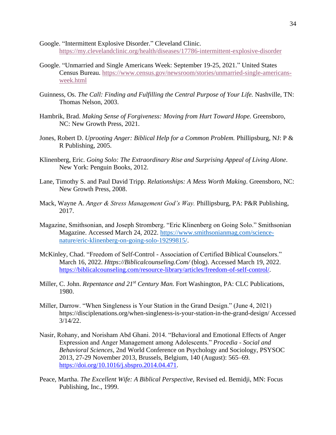- Google. "Intermittent Explosive Disorder." Cleveland Clinic. <https://my.clevelandclinic.org/health/diseases/17786-intermittent-explosive-disorder>
- Google. "Unmarried and Single Americans Week: September 19-25, 2021." United States Census Bureau. [https://www.census.gov/newsroom/stories/unmarried-single-americans](https://www.census.gov/newsroom/stories/unmarried-single-americans-week.html)[week.html](https://www.census.gov/newsroom/stories/unmarried-single-americans-week.html)
- Guinness, Os. *The Call: Finding and Fulfilling the Central Purpose of Your Life.* Nashville, TN: Thomas Nelson, 2003.
- Hambrik, Brad. *Making Sense of Forgiveness: Moving from Hurt Toward Hope.* Greensboro, NC: New Growth Press, 2021.
- Jones, Robert D. *Uprooting Anger: Biblical Help for a Common Problem.* Phillipsburg, NJ: P & R Publishing, 2005.
- Klinenberg, Eric. *Going Solo: The Extraordinary Rise and Surprising Appeal of Living Alone*. New York: Penguin Books, 2012.
- Lane, Timothy S. and Paul David Tripp. *Relationships: A Mess Worth Making*. Greensboro, NC: New Growth Press, 2008.
- Mack, Wayne A. *Anger & Stress Management God's Way.* Phillipsburg, PA: P&R Publishing, 2017.
- Magazine, Smithsonian, and Joseph Stromberg. "Eric Klinenberg on Going Solo." Smithsonian Magazine. Accessed March 24, 2022. [https://www.smithsonianmag.com/science](https://www.smithsonianmag.com/science-nature/eric-klinenberg-on-going-solo-19299815/)[nature/eric-klinenberg-on-going-solo-19299815/.](https://www.smithsonianmag.com/science-nature/eric-klinenberg-on-going-solo-19299815/)
- McKinley, Chad. "Freedom of Self-Control Association of Certified Biblical Counselors." March 16, 2022. *Https://Biblicalcounseling.Com/* (blog). Accessed March 19, 2022. [https://biblicalcounseling.com/resource-library/articles/freedom-of-self-control/.](https://biblicalcounseling.com/resource-library/articles/freedom-of-self-control/)
- Miller, C. John. *Repentance and 21st Century Man.* Fort Washington, PA: CLC Publications, 1980.
- Miller, Darrow. "When Singleness is Your Station in the Grand Design." (June 4, 2021) https://disciplenations.org/when-singleness-is-your-station-in-the-grand-design/ Accessed 3/14/22.
- Nasir, Rohany, and Norisham Abd Ghani. 2014. "Behavioral and Emotional Effects of Anger Expression and Anger Management among Adolescents." *Procedia - Social and Behavioral Sciences*, 2nd World Conference on Psychology and Sociology, PSYSOC 2013, 27-29 November 2013, Brussels, Belgium, 140 (August): 565–69. [https://doi.org/10.1016/j.sbspro.2014.04.471.](https://doi.org/10.1016/j.sbspro.2014.04.471)
- Peace, Martha. *The Excellent Wife: A Biblical Perspective,* Revised ed. Bemidji, MN: Focus Publishing, Inc., 1999.